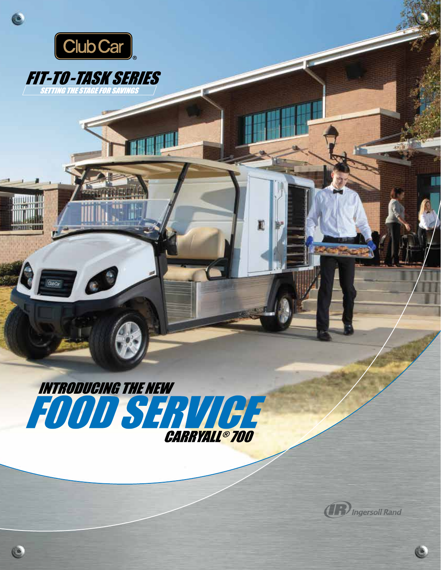

 $\blacklozenge$ 

**Quice** 

C

INTRODUCING THE NEW WORKS **CARRYALL® 700** 

E



Ċ.